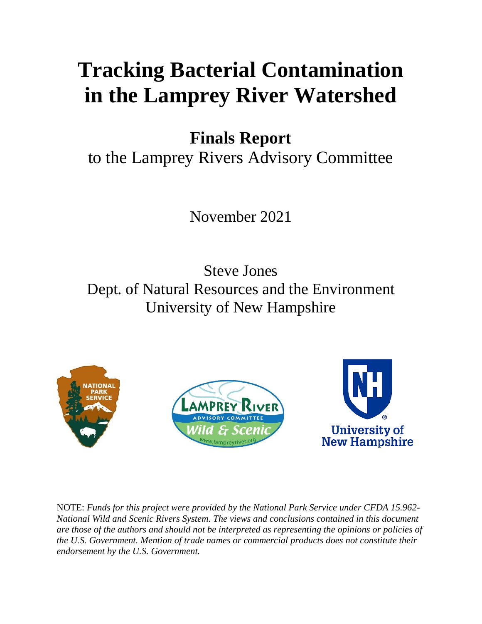# **Tracking Bacterial Contamination in the Lamprey River Watershed**

**Finals Report**

to the Lamprey Rivers Advisory Committee

November 2021

Steve Jones Dept. of Natural Resources and the Environment University of New Hampshire







NOTE: *Funds for this project were provided by the National Park Service under CFDA 15.962- National Wild and Scenic Rivers System. The views and conclusions contained in this document are those of the authors and should not be interpreted as representing the opinions or policies of the U.S. Government. Mention of trade names or commercial products does not constitute their endorsement by the U.S. Government.*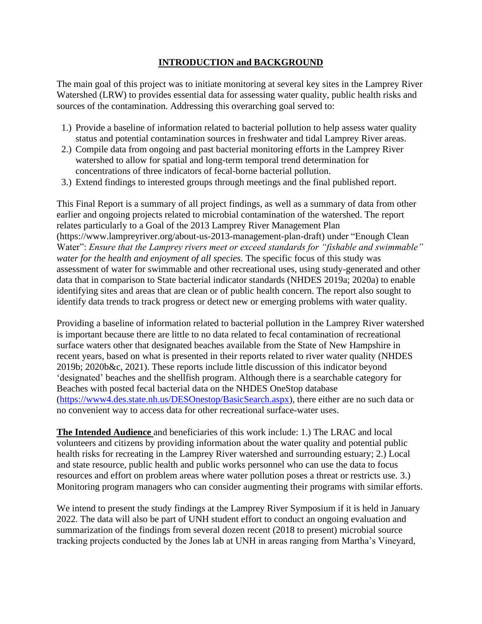# **INTRODUCTION and BACKGROUND**

The main goal of this project was to initiate monitoring at several key sites in the Lamprey River Watershed (LRW) to provides essential data for assessing water quality, public health risks and sources of the contamination. Addressing this overarching goal served to:

- 1.) Provide a baseline of information related to bacterial pollution to help assess water quality status and potential contamination sources in freshwater and tidal Lamprey River areas.
- 2.) Compile data from ongoing and past bacterial monitoring efforts in the Lamprey River watershed to allow for spatial and long-term temporal trend determination for concentrations of three indicators of fecal-borne bacterial pollution.
- 3.) Extend findings to interested groups through meetings and the final published report.

This Final Report is a summary of all project findings, as well as a summary of data from other earlier and ongoing projects related to microbial contamination of the watershed. The report relates particularly to a Goal of the 2013 Lamprey River Management Plan (https://www.lampreyriver.org/about-us-2013-management-plan-draft) under "Enough Clean Water": *Ensure that the Lamprey rivers meet or exceed standards for "fishable and swimmable" water for the health and enjoyment of all species.* The specific focus of this study was assessment of water for swimmable and other recreational uses, using study-generated and other data that in comparison to State bacterial indicator standards (NHDES 2019a; 2020a) to enable identifying sites and areas that are clean or of public health concern. The report also sought to identify data trends to track progress or detect new or emerging problems with water quality.

Providing a baseline of information related to bacterial pollution in the Lamprey River watershed is important because there are little to no data related to fecal contamination of recreational surface waters other that designated beaches available from the State of New Hampshire in recent years, based on what is presented in their reports related to river water quality (NHDES 2019b; 2020b&c, 2021). These reports include little discussion of this indicator beyond 'designated' beaches and the shellfish program. Although there is a searchable category for Beaches with posted fecal bacterial data on the NHDES OneStop database [\(https://www4.des.state.nh.us/DESOnestop/BasicSearch.aspx\)](https://www4.des.state.nh.us/DESOnestop/BasicSearch.aspx), there either are no such data or no convenient way to access data for other recreational surface-water uses.

**The Intended Audience** and beneficiaries of this work include: 1.) The LRAC and local volunteers and citizens by providing information about the water quality and potential public health risks for recreating in the Lamprey River watershed and surrounding estuary; 2.) Local and state resource, public health and public works personnel who can use the data to focus resources and effort on problem areas where water pollution poses a threat or restricts use. 3.) Monitoring program managers who can consider augmenting their programs with similar efforts.

We intend to present the study findings at the Lamprey River Symposium if it is held in January 2022. The data will also be part of UNH student effort to conduct an ongoing evaluation and summarization of the findings from several dozen recent (2018 to present) microbial source tracking projects conducted by the Jones lab at UNH in areas ranging from Martha's Vineyard,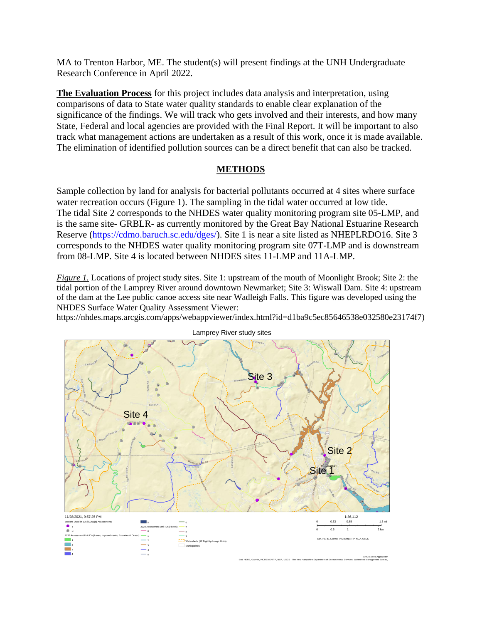MA to Trenton Harbor, ME. The student(s) will present findings at the UNH Undergraduate Research Conference in April 2022.

**The Evaluation Process** for this project includes data analysis and interpretation, using comparisons of data to State water quality standards to enable clear explanation of the significance of the findings. We will track who gets involved and their interests, and how many State, Federal and local agencies are provided with the Final Report. It will be important to also track what management actions are undertaken as a result of this work, once it is made available. The elimination of identified pollution sources can be a direct benefit that can also be tracked.

## **METHODS**

Sample collection by land for analysis for bacterial pollutants occurred at 4 sites where surface water recreation occurs (Figure 1). The sampling in the tidal water occurred at low tide. The tidal Site 2 corresponds to the NHDES water quality monitoring program site 05-LMP, and is the same site- GRBLR- as currently monitored by the Great Bay National Estuarine Research Reserve [\(https://cdmo.baruch.sc.edu/dges/\)](https://cdmo.baruch.sc.edu/dges/). Site 1 is near a site listed as NHEPLRDO16. Site 3 corresponds to the NHDES water quality monitoring program site 07T-LMP and is downstream from 08-LMP. Site 4 is located between NHDES sites 11-LMP and 11A-LMP.

*Figure 1.* Locations of project study sites. Site 1: upstream of the mouth of Moonlight Brook; Site 2: the tidal portion of the Lamprey River around downtown Newmarket; Site 3: Wiswall Dam. Site 4: upstream of the dam at the Lee public canoe access site near Wadleigh Falls. This figure was developed using the NHDES Surface Water Quality Assessment Viewer:

https://nhdes.maps.arcgis.com/apps/webappviewer/index.html?id=d1ba9c5ec85646538e032580e23174f7)



Lamprey River study sites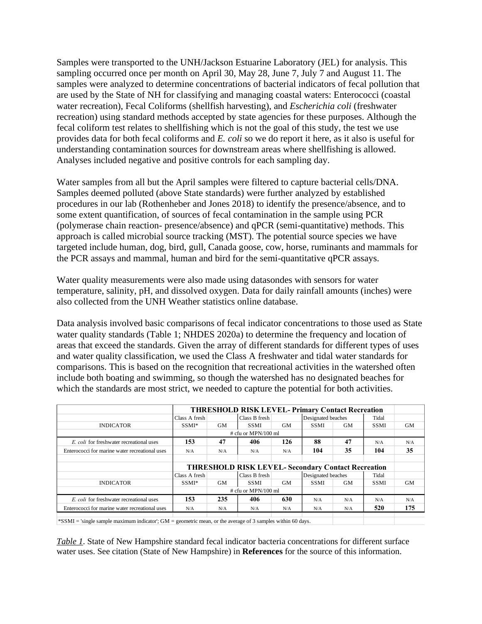Samples were transported to the UNH/Jackson Estuarine Laboratory (JEL) for analysis. This sampling occurred once per month on April 30, May 28, June 7, July 7 and August 11. The samples were analyzed to determine concentrations of bacterial indicators of fecal pollution that are used by the State of NH for classifying and managing coastal waters: Enterococci (coastal water recreation), Fecal Coliforms (shellfish harvesting), and *Escherichia coli* (freshwater recreation) using standard methods accepted by state agencies for these purposes. Although the fecal coliform test relates to shellfishing which is not the goal of this study, the test we use provides data for both fecal coliforms and *E. coli* so we do report it here, as it also is useful for understanding contamination sources for downstream areas where shellfishing is allowed. Analyses included negative and positive controls for each sampling day.

Water samples from all but the April samples were filtered to capture bacterial cells/DNA. Samples deemed polluted (above State standards) were further analyzed by established procedures in our lab (Rothenheber and Jones 2018) to identify the presence/absence, and to some extent quantification, of sources of fecal contamination in the sample using PCR (polymerase chain reaction- presence/absence) and qPCR (semi-quantitative) methods. This approach is called microbial source tracking (MST). The potential source species we have targeted include human, dog, bird, gull, Canada goose, cow, horse, ruminants and mammals for the PCR assays and mammal, human and bird for the semi-quantitative qPCR assays.

Water quality measurements were also made using datasondes with sensors for water temperature, salinity, pH, and dissolved oxygen. Data for daily rainfall amounts (inches) were also collected from the UNH Weather statistics online database.

Data analysis involved basic comparisons of fecal indicator concentrations to those used as State water quality standards (Table 1; NHDES 2020a) to determine the frequency and location of areas that exceed the standards. Given the array of different standards for different types of uses and water quality classification, we used the Class A freshwater and tidal water standards for comparisons. This is based on the recognition that recreational activities in the watershed often include both boating and swimming, so though the watershed has no designated beaches for which the standards are most strict, we needed to capture the potential for both activities.

|                                                                                                       |                   |                       | <b>THRESHOLD RISK LEVEL- Primary Contact Recreation</b> |     |                    |                                                           |             |           |  |
|-------------------------------------------------------------------------------------------------------|-------------------|-----------------------|---------------------------------------------------------|-----|--------------------|-----------------------------------------------------------|-------------|-----------|--|
|                                                                                                       | Class A fresh     |                       | Class B fresh                                           |     | Designated beaches |                                                           | Tidal       |           |  |
| <b>INDICATOR</b>                                                                                      | SSMI <sup>*</sup> | GМ                    | <b>SSMI</b>                                             | GМ  | <b>SSMI</b>        | GМ                                                        | <b>SSMI</b> | GМ        |  |
|                                                                                                       |                   | $#$ cfu or MPN/100 ml |                                                         |     |                    |                                                           |             |           |  |
| E. coli for freshwater recreational uses                                                              | 153               | 47                    | 406                                                     | 126 | 88                 | 47                                                        | N/A         | N/A       |  |
| Enterococci for marine water recreational uses                                                        | N/A               | N/A                   | N/A                                                     | N/A | 104                | 35                                                        | 104         | 35        |  |
|                                                                                                       |                   |                       |                                                         |     |                    |                                                           |             |           |  |
|                                                                                                       |                   |                       |                                                         |     |                    | <b>THRESHOLD RISK LEVEL- Secondary Contact Recreation</b> |             |           |  |
|                                                                                                       | Class A fresh     | Designated beaches    | Tidal                                                   |     |                    |                                                           |             |           |  |
| <b>INDICATOR</b>                                                                                      | SSMI <sup>*</sup> | GM                    | SSMI                                                    | GМ  | <b>SSMI</b>        | GМ                                                        | <b>SSMI</b> | <b>GM</b> |  |
|                                                                                                       |                   |                       | $#$ cfu or MPN/100 ml                                   |     |                    |                                                           |             |           |  |
| E. coli for freshwater recreational uses                                                              | 153               | 235                   | 406                                                     | 630 | N/A                | N/A                                                       | N/A         | N/A       |  |
| Enterococci for marine water recreational uses                                                        | N/A               | N/A                   | N/A                                                     | N/A | N/A                | N/A                                                       | 520         | 175       |  |
| $RPOMI = binals$ complements indicated $CM =$ computed mann on the around of 2 complex within 60 days |                   |                       |                                                         |     |                    |                                                           |             |           |  |

 $\text{imple maximum indicator'}; \text{GM} = \text{geometric mean}, \text{or the average of 3 samples within 60 days.}$ 

*Table 1*. State of New Hampshire standard fecal indicator bacteria concentrations for different surface water uses. See citation (State of New Hampshire) in **References** for the source of this information.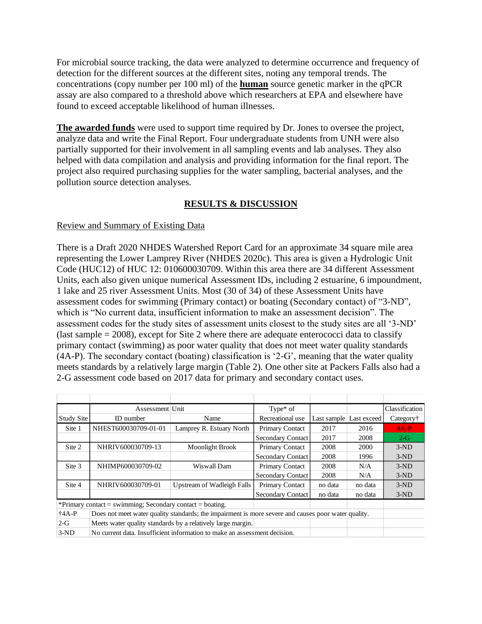For microbial source tracking, the data were analyzed to determine occurrence and frequency of detection for the different sources at the different sites, noting any temporal trends. The concentrations (copy number per 100 ml) of the **human** source genetic marker in the qPCR assay are also compared to a threshold above which researchers at EPA and elsewhere have found to exceed acceptable likelihood of human illnesses.

**The awarded funds** were used to support time required by Dr. Jones to oversee the project, analyze data and write the Final Report. Four undergraduate students from UNH were also partially supported for their involvement in all sampling events and lab analyses. They also helped with data compilation and analysis and providing information for the final report. The project also required purchasing supplies for the water sampling, bacterial analyses, and the pollution source detection analyses.

# **RESULTS & DISCUSSION**

## Review and Summary of Existing Data

There is a Draft 2020 NHDES Watershed Report Card for an approximate 34 square mile area representing the Lower Lamprey River (NHDES 2020c). This area is given a Hydrologic Unit Code (HUC12) of HUC 12: 010600030709. Within this area there are 34 different Assessment Units, each also given unique numerical Assessment IDs, including 2 estuarine, 6 impoundment, 1 lake and 25 river Assessment Units. Most (30 of 34) of these Assessment Units have assessment codes for swimming (Primary contact) or boating (Secondary contact) of "3-ND", which is "No current data, insufficient information to make an assessment decision". The assessment codes for the study sites of assessment units closest to the study sites are all '3-ND' (last sample  $= 2008$ ), except for Site 2 where there are adequate enterococci data to classify primary contact (swimming) as poor water quality that does not meet water quality standards (4A-P). The secondary contact (boating) classification is '2-G', meaning that the water quality meets standards by a relatively large margin (Table 2). One other site at Packers Falls also had a 2-G assessment code based on 2017 data for primary and secondary contact uses.

|                 | Assessment Unit                                                                                     |                                                             | Type $*$ of              |                              |                         | Classification |  |  |  |  |
|-----------------|-----------------------------------------------------------------------------------------------------|-------------------------------------------------------------|--------------------------|------------------------------|-------------------------|----------------|--|--|--|--|
| Study Site      | ID number                                                                                           | Name                                                        | Recreational use         |                              | Last sample Last exceed | Category†      |  |  |  |  |
| Site 1          | NHEST600030709-01-01                                                                                | Lamprey R. Estuary North                                    | <b>Primary Contact</b>   | 2017                         | 2016                    | $4A-P$         |  |  |  |  |
|                 |                                                                                                     |                                                             | Secondary Contact        | 2017                         | 2008                    | $2-G$          |  |  |  |  |
| Site 2          | NHRIV600030709-13                                                                                   | <b>Moonlight Brook</b>                                      | <b>Primary Contact</b>   | 2008                         | 2000                    | $3-ND$         |  |  |  |  |
|                 |                                                                                                     |                                                             | <b>Secondary Contact</b> | 2008                         | 1996                    | $3-ND$         |  |  |  |  |
| Site 3          | NHIMP600030709-02                                                                                   | Wiswall Dam                                                 | <b>Primary Contact</b>   | 2008                         | N/A                     | $3-ND$         |  |  |  |  |
|                 |                                                                                                     |                                                             | Secondary Contact        | 2008                         | N/A                     | $3-ND$         |  |  |  |  |
| Site 4          | NHRIV600030709-01                                                                                   | Upstream of Wadleigh Falls                                  | <b>Primary Contact</b>   | no data                      | no data                 | $3-ND$         |  |  |  |  |
|                 |                                                                                                     |                                                             |                          | Secondary Contact<br>no data | no data                 | $3-ND$         |  |  |  |  |
|                 | *Primary contact = swimming; Secondary contact = boating.                                           |                                                             |                          |                              |                         |                |  |  |  |  |
| $\uparrow$ 4A-P | Does not meet water quality standards; the impairment is more severe and causes poor water quality. |                                                             |                          |                              |                         |                |  |  |  |  |
| $2-G$           |                                                                                                     | Meets water quality standards by a relatively large margin. |                          |                              |                         |                |  |  |  |  |
| $3-ND$          | No current data. Insufficient information to make an assessment decision.                           |                                                             |                          |                              |                         |                |  |  |  |  |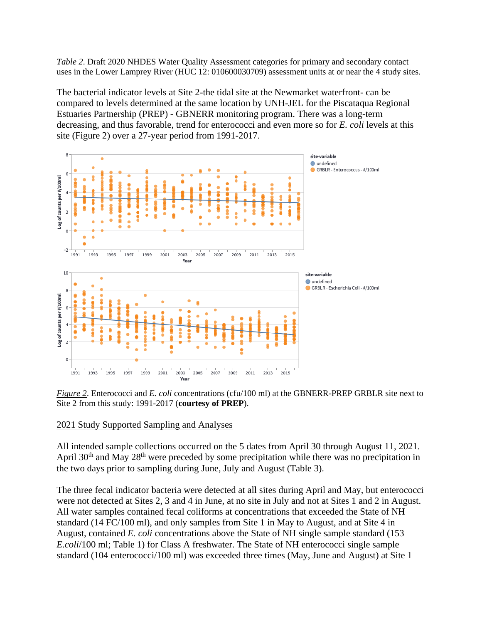*Table 2*. Draft 2020 NHDES Water Quality Assessment categories for primary and secondary contact uses in the Lower Lamprey River (HUC 12: 010600030709) assessment units at or near the 4 study sites.

The bacterial indicator levels at Site 2-the tidal site at the Newmarket waterfront- can be compared to levels determined at the same location by UNH-JEL for the Piscataqua Regional Estuaries Partnership (PREP) - GBNERR monitoring program. There was a long-term decreasing, and thus favorable, trend for enterococci and even more so for *E. coli* levels at this site (Figure 2) over a 27-year period from 1991-2017.



*Figure 2*. Enterococci and *E. coli* concentrations (cfu/100 ml) at the GBNERR-PREP GRBLR site next to Site 2 from this study: 1991-2017 (**courtesy of PREP**).

### 2021 Study Supported Sampling and Analyses

All intended sample collections occurred on the 5 dates from April 30 through August 11, 2021. April  $30<sup>th</sup>$  and May  $28<sup>th</sup>$  were preceded by some precipitation while there was no precipitation in the two days prior to sampling during June, July and August (Table 3).

The three fecal indicator bacteria were detected at all sites during April and May, but enterococci were not detected at Sites 2, 3 and 4 in June, at no site in July and not at Sites 1 and 2 in August. All water samples contained fecal coliforms at concentrations that exceeded the State of NH standard (14 FC/100 ml), and only samples from Site 1 in May to August, and at Site 4 in August, contained *E. coli* concentrations above the State of NH single sample standard (153 *E.coli*/100 ml; Table 1) for Class A freshwater. The State of NH enterococci single sample standard (104 enterococci/100 ml) was exceeded three times (May, June and August) at Site 1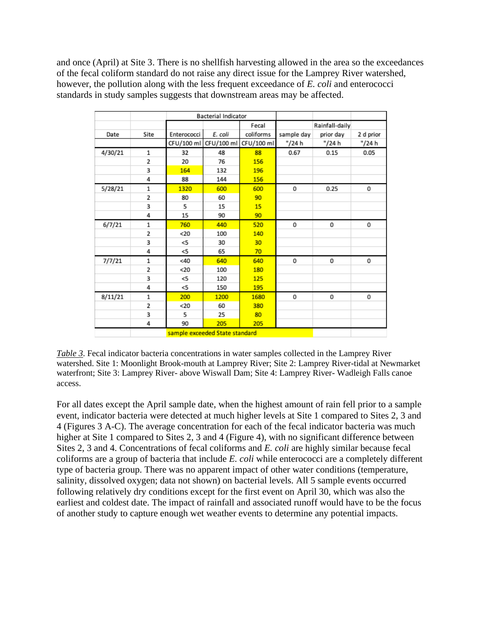and once (April) at Site 3. There is no shellfish harvesting allowed in the area so the exceedances of the fecal coliform standard do not raise any direct issue for the Lamprey River watershed, however, the pollution along with the less frequent exceedance of *E. coli* and enterococci standards in study samples suggests that downstream areas may be affected.

|         |      |                        | <b>Bacterial Indicator</b> |            |            |                |           |
|---------|------|------------------------|----------------------------|------------|------------|----------------|-----------|
|         |      |                        |                            | Fecal      |            | Rainfall-daily |           |
| Date    | Site | E. coli<br>Enterococci |                            | coliforms  | sample day | prior day      | 2 d prior |
|         |      |                        | CFU/100 ml CFU/100 ml      | CFU/100 ml | "/24 h     | "/24 h         | "/24 h    |
| 4/30/21 | 1    | 32                     | 48                         | 88         | 0.67       | 0.15           | 0.05      |
|         | 2    | 20                     | 76                         | 156        |            |                |           |
|         | 3    | 164                    | 132                        | 196        |            |                |           |
|         | 4    | 88                     | 144                        | 156        |            |                |           |
| 5/28/21 | 1    | 1320                   | 600                        | 600        | 0          | 0.25           | 0         |
|         | 2    | 80                     | 60                         | 90         |            |                |           |
|         | 3    | 5                      | 15                         | 15         |            |                |           |
|         | 4    | 15                     | 90                         | 90         |            |                |           |
| 6/7/21  | 1    | 760                    | 440                        | 520        | 0          | 0              | 0         |
|         | 2    | $20$                   | 100                        | 140        |            |                |           |
|         | 3    | <5                     | 30                         | 30         |            |                |           |
|         | 4    | $<$ 5                  | 65                         | 70         |            |                |           |
| 7/7/21  | 1    | <40                    | 640                        | 640        | 0          | 0              | 0         |
|         | 2    | $20$                   | 100                        | 180        |            |                |           |
|         | 3    | <5                     | 120                        | 125        |            |                |           |
|         | 4    | <5                     | 150                        | 195        |            |                |           |
| 8/11/21 | 1    | 200                    | 1200                       | 1680       | 0          | 0              | 0         |
|         | 2    | $20$                   | 60                         | 380        |            |                |           |
|         | 3    | 5                      | 25                         | 80         |            |                |           |
|         | 4    | 90                     | 205                        | 205        |            |                |           |
|         |      |                        |                            |            |            |                |           |

*Table 3*. Fecal indicator bacteria concentrations in water samples collected in the Lamprey River watershed. Site 1: Moonlight Brook-mouth at Lamprey River; Site 2: Lamprey River-tidal at Newmarket waterfront; Site 3: Lamprey River- above Wiswall Dam; Site 4: Lamprey River- Wadleigh Falls canoe access.

For all dates except the April sample date, when the highest amount of rain fell prior to a sample event, indicator bacteria were detected at much higher levels at Site 1 compared to Sites 2, 3 and 4 (Figures 3 A-C). The average concentration for each of the fecal indicator bacteria was much higher at Site 1 compared to Sites 2, 3 and 4 (Figure 4), with no significant difference between Sites 2, 3 and 4. Concentrations of fecal coliforms and *E. coli* are highly similar because fecal coliforms are a group of bacteria that include *E. coli* while enterococci are a completely different type of bacteria group. There was no apparent impact of other water conditions (temperature, salinity, dissolved oxygen; data not shown) on bacterial levels. All 5 sample events occurred following relatively dry conditions except for the first event on April 30, which was also the earliest and coldest date. The impact of rainfall and associated runoff would have to be the focus of another study to capture enough wet weather events to determine any potential impacts.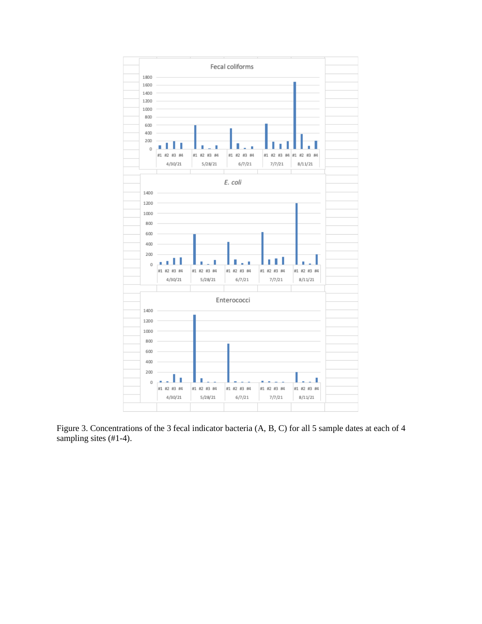

Figure 3. Concentrations of the 3 fecal indicator bacteria (A, B, C) for all 5 sample dates at each of 4 sampling sites  $(\text{\#}1-\text{-}4)$ .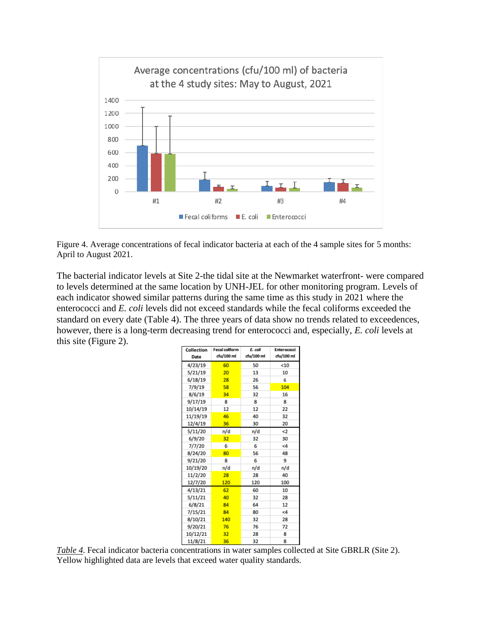

Figure 4. Average concentrations of fecal indicator bacteria at each of the 4 sample sites for 5 months: April to August 2021.

The bacterial indicator levels at Site 2-the tidal site at the Newmarket waterfront- were compared to levels determined at the same location by UNH-JEL for other monitoring program. Levels of each indicator showed similar patterns during the same time as this study in 2021 where the enterococci and *E. coli* levels did not exceed standards while the fecal coliforms exceeded the standard on every date (Table 4). The three years of data show no trends related to exceedences, however, there is a long-term decreasing trend for enterococci and, especially, *E. coli* levels at this site (Figure 2).

| Collection<br>Date | <b>Fecal coliform</b><br>cfu/100 ml | E. coli<br>cfu/100 ml | Enterococci<br>cfu/100 ml |  |  |
|--------------------|-------------------------------------|-----------------------|---------------------------|--|--|
| 4/23/19            | 60                                  | 50                    | < 10                      |  |  |
|                    |                                     |                       |                           |  |  |
| 5/21/19            | 20                                  | 13                    | 10                        |  |  |
| 6/18/19            | 28                                  | 26                    | 6                         |  |  |
| 7/9/19             | 58                                  | 56                    | 104                       |  |  |
| 8/6/19             | 34                                  | 32                    | 16                        |  |  |
| 9/17/19            | 8                                   | 8                     | 8                         |  |  |
| 10/14/19           | 12                                  | 12                    | 22                        |  |  |
| 11/19/19           | 46                                  | 40                    | 32                        |  |  |
| 12/4/19            | 36                                  | 30                    | 20                        |  |  |
| 5/11/20            | n/d                                 | n/d                   | $\leq$                    |  |  |
| 6/9/20             | 32                                  | 32                    | 30                        |  |  |
| 7/7/20             | 6                                   | 6                     | <4                        |  |  |
| 8/24/20            | 80                                  | 56                    | 48                        |  |  |
| 9/21/20            | 8                                   | 6                     | 9                         |  |  |
| 10/19/20           | n/d                                 | n/d                   | n/d                       |  |  |
| 11/2/20            | 28                                  | 28                    | 40                        |  |  |
| 12/7/20            | 120                                 | 120                   | 100                       |  |  |
| 4/13/21            | 62                                  | 60                    | 10                        |  |  |
| 5/11/21            | 40                                  | 32                    | 28                        |  |  |
| 6/8/21             | 84                                  | 64                    | 12                        |  |  |
| 7/15/21            | 84                                  | 80                    | $\leq 4$                  |  |  |
| 8/10/21            | 140                                 | 32                    | 28                        |  |  |
| 9/20/21            | 76                                  | 76                    | 72                        |  |  |
| 10/12/21           | 32                                  | 28                    | 8                         |  |  |
| 11/8/21            | 36                                  | 32                    | 8                         |  |  |

*Table 4*. Fecal indicator bacteria concentrations in water samples collected at Site GBRLR (Site 2). Yellow highlighted data are levels that exceed water quality standards.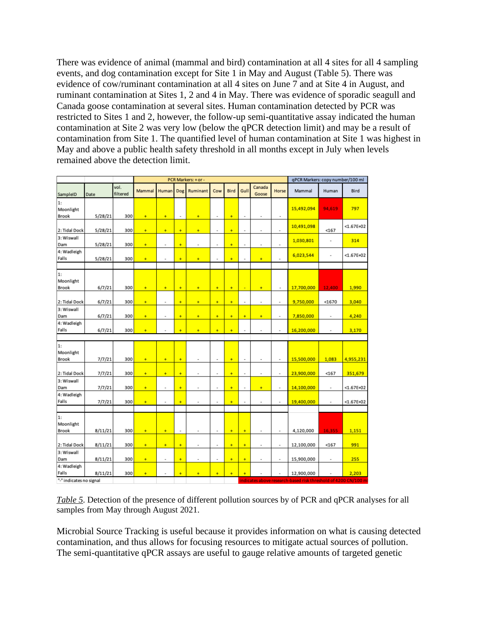There was evidence of animal (mammal and bird) contamination at all 4 sites for all 4 sampling events, and dog contamination except for Site 1 in May and August (Table 5). There was evidence of cow/ruminant contamination at all 4 sites on June 7 and at Site 4 in August, and ruminant contamination at Sites 1, 2 and 4 in May. There was evidence of sporadic seagull and Canada goose contamination at several sites. Human contamination detected by PCR was restricted to Sites 1 and 2, however, the follow-up semi-quantitative assay indicated the human contamination at Site 2 was very low (below the qPCR detection limit) and may be a result of contamination from Site 1. The quantified level of human contamination at Site 1 was highest in May and above a public health safety threshold in all months except in July when levels remained above the detection limit.

|                                                                                           |         |                  | PCR Markers: + or - |                |                |                |                          |      | qPCR Markers: copy number/100 ml |                 |                |            |                |                |
|-------------------------------------------------------------------------------------------|---------|------------------|---------------------|----------------|----------------|----------------|--------------------------|------|----------------------------------|-----------------|----------------|------------|----------------|----------------|
| SampleID                                                                                  | Date    | vol.<br>filtered | Mammal              | Human          | Dog            | Ruminant       | Cow                      | Bird | Gull                             | Canada<br>Goose | Horse          | Mammal     | Human          | Bird           |
| 1:<br>Moonlight<br>Brook                                                                  | 5/28/21 | 300              | ÷                   | ÷              | $\blacksquare$ | $\ddot{}$      | $\overline{\phantom{a}}$ | ÷    | $\blacksquare$                   | $\blacksquare$  | $\blacksquare$ | 15,492,094 | 94,619         | 797            |
| 2: Tidal Dock                                                                             | 5/28/21 | 300              | ÷                   | ¥              | ÷              | ¥              | ٠                        | ÷    | $\overline{a}$                   | ٠               | ×,             | 10,491,098 | $167$          | $< 1.67E + 02$ |
| 3: Wiswall<br>Dam                                                                         | 5/28/21 | 300              | ÷                   | ×,             | ÷              | ×,             | $\blacksquare$           | ÷    | $\frac{1}{2}$                    | $\blacksquare$  | $\blacksquare$ | 1,030,801  | $\blacksquare$ | 314            |
| 4: Wadleigh<br>Falls                                                                      | 5/28/21 | 300              | ÷                   | ×,             | ÷              | $\ddot{}$      | $\overline{a}$           | ÷    | $\overline{a}$                   | $\ddot{}$       | $\blacksquare$ | 6,023,544  | $\blacksquare$ | $< 1.67E + 02$ |
|                                                                                           |         |                  |                     |                |                |                |                          |      |                                  |                 |                |            |                |                |
| 1:<br>Moonlight<br>Brook                                                                  | 6/7/21  | 300              | ÷                   | $\ddot{}$      | ÷              | ÷              | $\ddot{}$                | ÷    | u                                | ÷               | $\blacksquare$ | 17,700,000 | 12,400         | 1,990          |
| 2: Tidal Dock                                                                             | 6/7/21  | 300              | ÷                   | ×              | ÷              | ÷              | ÷                        | ÷    | $\frac{1}{2}$                    | $\blacksquare$  | $\blacksquare$ | 9,750,000  | < 1670         | 3,040          |
| 3: Wiswall<br>Dam                                                                         | 6/7/21  | 300              | ÷                   | $\blacksquare$ | ÷              | ÷              | $\ddot{}$                | ÷    | $\ddot{}$                        | $+$             | $\blacksquare$ | 7,850,000  | $\blacksquare$ | 4,240          |
| 4: Wadleigh<br>Falls                                                                      | 6/7/21  | 300              | ÷                   |                | ÷              | ÷              | ÷                        | ÷    | J.                               | ×,              | ×,             | 16,200,000 | $\overline{a}$ | 3,170          |
|                                                                                           |         |                  |                     |                |                |                |                          |      |                                  |                 |                |            |                |                |
| 1:<br>Moonlight<br>Brook                                                                  | 7/7/21  | 300              | ÷                   | $\ddot{}$      | ÷              | ×              | $\blacksquare$           | ÷    | $\blacksquare$                   | $\blacksquare$  | $\blacksquare$ | 15,500,000 | 1,083          | 4,955,231      |
|                                                                                           |         |                  |                     |                |                |                |                          |      |                                  |                 |                |            |                |                |
| 2: Tidal Dock<br>3: Wiswall                                                               | 7/7/21  | 300              | $\ddot{}$           | $\ddot{}$      | ÷              | $\blacksquare$ | $\blacksquare$           | ÷    | $\blacksquare$                   | $\blacksquare$  | $\blacksquare$ | 23,900,000 | $167$          | 351,679        |
| Dam                                                                                       | 7/7/21  | 300              | ÷                   | ×,             | ÷              | i.             | $\overline{a}$           | ÷    | $\overline{a}$                   | ÷               | ٠              | 14,100,000 | ٠              | $< 1.67E + 02$ |
| 4: Wadleigh<br>Falls                                                                      | 7/7/21  | 300              | $+$                 | ×,             | ÷              | ×,             | $\overline{a}$           | ÷    | $\overline{a}$                   | ×,              | ٠              | 19,400.000 | ä,             | $< 1.67E + 02$ |
| 1:<br>Moonlight<br>Brook                                                                  | 8/11/21 | 300              | $+$                 | $\ddot{}$      | ×              | $\bar{a}$      | ×                        | ÷    | $\ddot{}$                        | $\bar{a}$       | ×              | 4,120,000  | 16,355         | 1.151          |
| 2: Tidal Dock                                                                             | 8/11/21 | 300              | $+$                 | $+$            | ÷              | ×,             | $\overline{a}$           | ÷    | ÷                                | ٠               | ٠              | 12,100,000 | $167$          | 991            |
| 3: Wiswall<br>Dam                                                                         | 8/11/21 | 300              | $+$                 | $\blacksquare$ | ÷              | ×,             | $\overline{a}$           | ÷    | ÷                                | $\blacksquare$  | $\blacksquare$ | 15,900,000 | $\blacksquare$ | 255            |
| 4: Wadleigh<br>Falls                                                                      | 8/11/21 | 300              | ÷                   | $\blacksquare$ | ÷              | ÷              | ÷                        | ÷    | $\ddot{}$                        |                 | ×              | 12,900,000 |                | 2,203          |
| "-" indicates no signal<br>indicates above research-based risk threshold of 4200 CN/100 m |         |                  |                     |                |                |                |                          |      |                                  |                 |                |            |                |                |

*Table 5*. Detection of the presence of different pollution sources by of PCR and qPCR analyses for all samples from May through August 2021.

Microbial Source Tracking is useful because it provides information on what is causing detected contamination, and thus allows for focusing resources to mitigate actual sources of pollution. The semi-quantitative qPCR assays are useful to gauge relative amounts of targeted genetic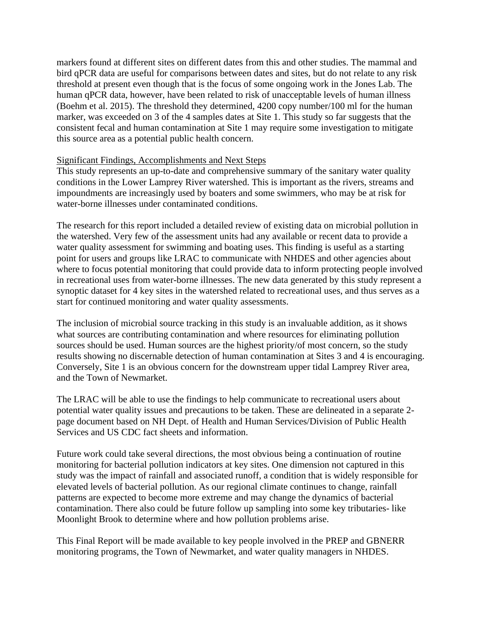markers found at different sites on different dates from this and other studies. The mammal and bird qPCR data are useful for comparisons between dates and sites, but do not relate to any risk threshold at present even though that is the focus of some ongoing work in the Jones Lab. The human qPCR data, however, have been related to risk of unacceptable levels of human illness (Boehm et al. 2015). The threshold they determined, 4200 copy number/100 ml for the human marker, was exceeded on 3 of the 4 samples dates at Site 1. This study so far suggests that the consistent fecal and human contamination at Site 1 may require some investigation to mitigate this source area as a potential public health concern.

### Significant Findings, Accomplishments and Next Steps

This study represents an up-to-date and comprehensive summary of the sanitary water quality conditions in the Lower Lamprey River watershed. This is important as the rivers, streams and impoundments are increasingly used by boaters and some swimmers, who may be at risk for water-borne illnesses under contaminated conditions.

The research for this report included a detailed review of existing data on microbial pollution in the watershed. Very few of the assessment units had any available or recent data to provide a water quality assessment for swimming and boating uses. This finding is useful as a starting point for users and groups like LRAC to communicate with NHDES and other agencies about where to focus potential monitoring that could provide data to inform protecting people involved in recreational uses from water-borne illnesses. The new data generated by this study represent a synoptic dataset for 4 key sites in the watershed related to recreational uses, and thus serves as a start for continued monitoring and water quality assessments.

The inclusion of microbial source tracking in this study is an invaluable addition, as it shows what sources are contributing contamination and where resources for eliminating pollution sources should be used. Human sources are the highest priority/of most concern, so the study results showing no discernable detection of human contamination at Sites 3 and 4 is encouraging. Conversely, Site 1 is an obvious concern for the downstream upper tidal Lamprey River area, and the Town of Newmarket.

The LRAC will be able to use the findings to help communicate to recreational users about potential water quality issues and precautions to be taken. These are delineated in a separate 2 page document based on NH Dept. of Health and Human Services/Division of Public Health Services and US CDC fact sheets and information.

Future work could take several directions, the most obvious being a continuation of routine monitoring for bacterial pollution indicators at key sites. One dimension not captured in this study was the impact of rainfall and associated runoff, a condition that is widely responsible for elevated levels of bacterial pollution. As our regional climate continues to change, rainfall patterns are expected to become more extreme and may change the dynamics of bacterial contamination. There also could be future follow up sampling into some key tributaries- like Moonlight Brook to determine where and how pollution problems arise.

This Final Report will be made available to key people involved in the PREP and GBNERR monitoring programs, the Town of Newmarket, and water quality managers in NHDES.